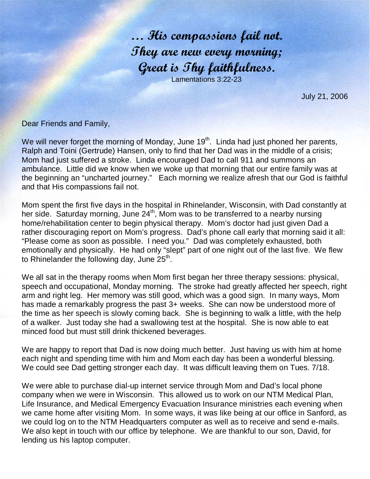… His compassions fail not. They are new every morning; Great is Thy faithfulness. Lamentations 3:22-23

July 21, 2006

Dear Friends and Family,

We will never forget the morning of Monday, June 19<sup>th</sup>. Linda had just phoned her parents, Ralph and Toini (Gertrude) Hansen, only to find that her Dad was in the middle of a crisis; Mom had just suffered a stroke. Linda encouraged Dad to call 911 and summons an ambulance. Little did we know when we woke up that morning that our entire family was at the beginning an "uncharted journey." Each morning we realize afresh that our God is faithful and that His compassions fail not.

Mom spent the first five days in the hospital in Rhinelander, Wisconsin, with Dad constantly at her side. Saturday morning, June 24<sup>th</sup>, Mom was to be transferred to a nearby nursing home/rehabilitation center to begin physical therapy. Mom's doctor had just given Dad a rather discouraging report on Mom's progress. Dad's phone call early that morning said it all: "Please come as soon as possible. I need you." Dad was completely exhausted, both emotionally and physically. He had only "slept" part of one night out of the last five. We flew to Rhinelander the following day, June  $25<sup>th</sup>$ .

We all sat in the therapy rooms when Mom first began her three therapy sessions: physical, speech and occupational, Monday morning. The stroke had greatly affected her speech, right arm and right leg. Her memory was still good, which was a good sign. In many ways, Mom has made a remarkably progress the past 3+ weeks. She can now be understood more of the time as her speech is slowly coming back. She is beginning to walk a little, with the help of a walker. Just today she had a swallowing test at the hospital. She is now able to eat minced food but must still drink thickened beverages.

We are happy to report that Dad is now doing much better. Just having us with him at home each night and spending time with him and Mom each day has been a wonderful blessing. We could see Dad getting stronger each day. It was difficult leaving them on Tues. 7/18.

We were able to purchase dial-up internet service through Mom and Dad's local phone company when we were in Wisconsin. This allowed us to work on our NTM Medical Plan, Life Insurance, and Medical Emergency Evacuation Insurance ministries each evening when we came home after visiting Mom. In some ways, it was like being at our office in Sanford, as we could log on to the NTM Headquarters computer as well as to receive and send e-mails. We also kept in touch with our office by telephone. We are thankful to our son, David, for lending us his laptop computer.